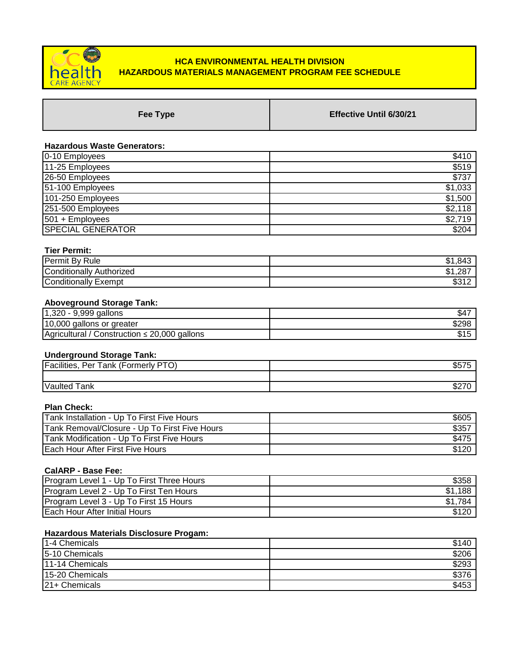

# **HCA ENVIRONMENTAL HEALTH DIVISION HAZARDOUS MATERIALS MANAGEMENT PROGRAM FEE SCHEDULE**

| Fee Type | <b>Effective Until 6/30/21</b> |
|----------|--------------------------------|
|          |                                |

## **Hazardous Waste Generators:**

| \$410   |
|---------|
| \$519   |
| \$737   |
| \$1,033 |
| \$1,500 |
| \$2,118 |
| \$2,719 |
| \$204   |
|         |

## **Tier Permit:**

| Permit By Rule              | .843<br>m 4<br>۱۰۵     |
|-----------------------------|------------------------|
| Conditionally<br>Authorized | ,287<br>m 4<br>۱۰۵     |
| Conditionally "<br>Exempt   | <b>やつイつ</b><br>ے ا ت⊽ب |

# **Aboveground Storage Tank:**

| gallons<br>9,999<br>റററ<br>$\overline{A}$<br>∪∠د.      | ، 34  |
|--------------------------------------------------------|-------|
| 10,000<br>areater<br>gallons<br>or                     | \$298 |
| gallons<br>20,000<br>Agricultural<br>Construction<br>≃ | ง     |

## **Underground Storage Tank:**

| <b>DTO</b><br>Facilities.<br>$\epsilon$<br>-<br>Per<br>ormerly<br>ank<br>ັ | --<br>، نې  |
|----------------------------------------------------------------------------|-------------|
|                                                                            |             |
| Vaulted<br>ank:                                                            | ، ے ت<br>ັບ |

## **Plan Check:**

| Tank Installation - Up To First Five Hours    | \$605         |
|-----------------------------------------------|---------------|
| Tank Removal/Closure - Up To First Five Hours | $$35^{\circ}$ |
| Tank Modification - Up To First Five Hours    | \$475         |
| <b>Each Hour After First Five Hours</b>       | \$120         |

# **CalARP - Base Fee:**

| <b>Program Level 1 - Up To First Three Hours</b> | \$358   |
|--------------------------------------------------|---------|
| Program Level 2 - Up To First Ten Hours          | \$1,188 |
| Program Level 3 - Up To First 15 Hours           | 784     |
| <b>Each Hour After Initial Hours</b>             | \$120   |

# **Hazardous Materials Disclosure Progam:**

| 1-4 Chemicals   | \$140 |
|-----------------|-------|
| 5-10 Chemicals  | \$206 |
| 11-14 Chemicals | \$293 |
| 15-20 Chemicals | \$376 |
| 21+ Chemicals   | \$453 |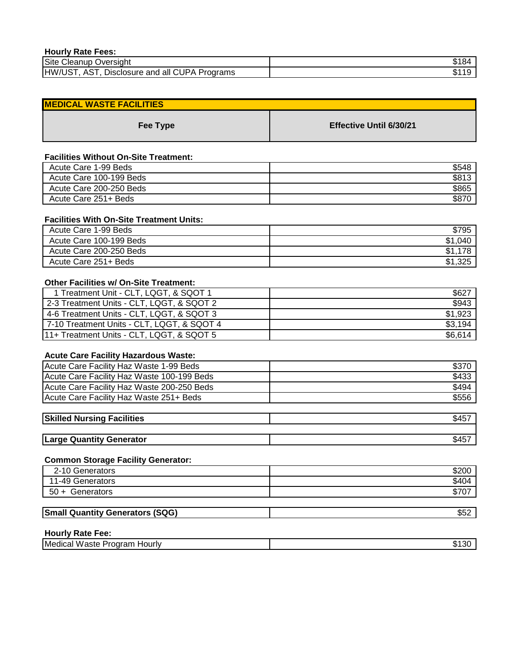| <b>Hourly Rate Fees:</b>                            |   |
|-----------------------------------------------------|---|
| Site Cleanup Oversight                              |   |
| AST.<br>HW/UST,<br>Disclosure and all CUPA Programs | Œ |

| <b>MEDICAL WASTE FACILITIES</b> |                                |
|---------------------------------|--------------------------------|
| Fee Type                        | <b>Effective Until 6/30/21</b> |

# **Facilities Without On-Site Treatment:**

| Acute Care 1-99 Beds    | \$548 |
|-------------------------|-------|
| Acute Care 100-199 Beds | \$813 |
| Acute Care 200-250 Beds | \$865 |
| Acute Care 251+ Beds    | \$870 |

#### **Facilities With On-Site Treatment Units:**

| Acute Care 1-99 Beds    | \$795           |
|-------------------------|-----------------|
| Acute Care 100-199 Beds | \$1.040         |
| Acute Care 200-250 Beds | 70<br>\$1       |
| Acute Care 251+ Beds    | ່ານະ<br>\$1.325 |

# **Other Facilities w/ On-Site Treatment:**

| 1 Treatment Unit - CLT, LQGT, & SQOT 1     | \$62    |
|--------------------------------------------|---------|
| 2-3 Treatment Units - CLT, LQGT, & SQOT 2  | \$943   |
| 4-6 Treatment Units - CLT, LQGT, & SQOT 3  | \$1.923 |
| 7-10 Treatment Units - CLT, LQGT, & SQOT 4 | \$3,194 |
| 11+ Treatment Units - CLT, LQGT, & SQOT 5  | \$6,614 |

### **Acute Care Facility Hazardous Waste:**

| Acute Care Facility Haz Waste 1-99 Beds    | \$370 |
|--------------------------------------------|-------|
| Acute Care Facility Haz Waste 100-199 Beds | \$433 |
| Acute Care Facility Haz Waste 200-250 Beds | \$494 |
| Acute Care Facility Haz Waste 251+ Beds    | \$556 |
|                                            |       |

| - P45 |
|-------|
|       |
| ა45.  |
|       |

# **Common Storage Facility Generator:**

| 2-10 Generators                        | \$200 |
|----------------------------------------|-------|
| 11-49 Generators                       | \$404 |
| 50 + Generators                        | \$707 |
|                                        |       |
| <b>Small Quantity Generators (SQG)</b> | \$52  |

#### **Hourly Rate Fee:**

| Medica<br>-------<br>lourlv<br>$\overline{M}$<br>$"$ ooto<br>. <i>.</i><br>_<br>- 11<br>$\cdots$<br><b>CON</b><br>้∾ เ |  |
|------------------------------------------------------------------------------------------------------------------------|--|
|                                                                                                                        |  |